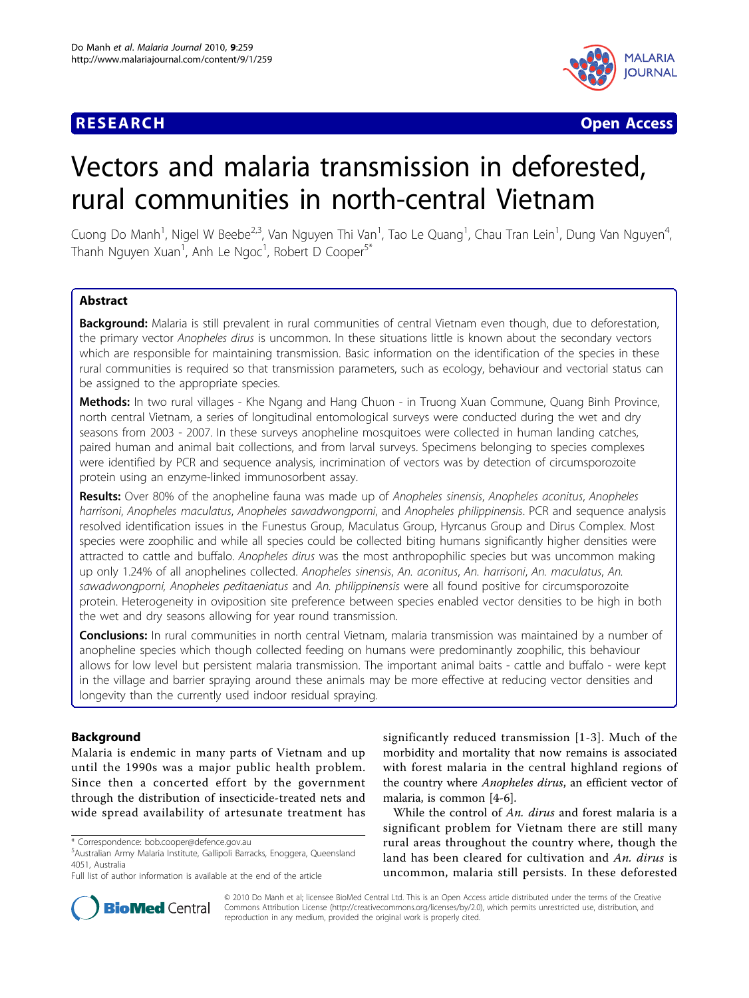# **RESEARCH CONSTRUCTION CONTROL**



# Vectors and malaria transmission in deforested, rural communities in north-central Vietnam

Cuong Do Manh<sup>1</sup>, Nigel W Beebe<sup>2,3</sup>, Van Nguyen Thi Van<sup>1</sup>, Tao Le Quang<sup>1</sup>, Chau Tran Lein<sup>1</sup>, Dung Van Nguyen<sup>4</sup> , Thanh Nguyen Xuan<sup>1</sup>, Anh Le Ngoc<sup>1</sup>, Robert D Cooper<sup>5\*</sup>

# Abstract

Background: Malaria is still prevalent in rural communities of central Vietnam even though, due to deforestation, the primary vector Anopheles dirus is uncommon. In these situations little is known about the secondary vectors which are responsible for maintaining transmission. Basic information on the identification of the species in these rural communities is required so that transmission parameters, such as ecology, behaviour and vectorial status can be assigned to the appropriate species.

Methods: In two rural villages - Khe Ngang and Hang Chuon - in Truong Xuan Commune, Quang Binh Province, north central Vietnam, a series of longitudinal entomological surveys were conducted during the wet and dry seasons from 2003 - 2007. In these surveys anopheline mosquitoes were collected in human landing catches, paired human and animal bait collections, and from larval surveys. Specimens belonging to species complexes were identified by PCR and sequence analysis, incrimination of vectors was by detection of circumsporozoite protein using an enzyme-linked immunosorbent assay.

Results: Over 80% of the anopheline fauna was made up of Anopheles sinensis, Anopheles aconitus, Anopheles harrisoni, Anopheles maculatus, Anopheles sawadwongporni, and Anopheles philippinensis. PCR and sequence analysis resolved identification issues in the Funestus Group, Maculatus Group, Hyrcanus Group and Dirus Complex. Most species were zoophilic and while all species could be collected biting humans significantly higher densities were attracted to cattle and buffalo. Anopheles dirus was the most anthropophilic species but was uncommon making up only 1.24% of all anophelines collected. Anopheles sinensis, An. aconitus, An. harrisoni, An. maculatus, An. sawadwongporni, Anopheles peditaeniatus and An. philippinensis were all found positive for circumsporozoite protein. Heterogeneity in oviposition site preference between species enabled vector densities to be high in both the wet and dry seasons allowing for year round transmission.

Conclusions: In rural communities in north central Vietnam, malaria transmission was maintained by a number of anopheline species which though collected feeding on humans were predominantly zoophilic, this behaviour allows for low level but persistent malaria transmission. The important animal baits - cattle and buffalo - were kept in the village and barrier spraying around these animals may be more effective at reducing vector densities and longevity than the currently used indoor residual spraying.

# Background

Malaria is endemic in many parts of Vietnam and up until the 1990s was a major public health problem. Since then a concerted effort by the government through the distribution of insecticide-treated nets and wide spread availability of artesunate treatment has

significantly reduced transmission [[1-3\]](#page-10-0). Much of the morbidity and mortality that now remains is associated with forest malaria in the central highland regions of the country where *Anopheles dirus*, an efficient vector of malaria, is common [\[4](#page-10-0)-[6\]](#page-10-0).

While the control of An. dirus and forest malaria is a significant problem for Vietnam there are still many rural areas throughout the country where, though the land has been cleared for cultivation and An. dirus is uncommon, malaria still persists. In these deforested



© 2010 Do Manh et al; licensee BioMed Central Ltd. This is an Open Access article distributed under the terms of the Creative Commons Attribution License [\(http://creativecommons.org/licenses/by/2.0](http://creativecommons.org/licenses/by/2.0)), which permits unrestricted use, distribution, and reproduction in any medium, provided the original work is properly cited.

<sup>\*</sup> Correspondence: [bob.cooper@defence.gov.au](mailto:bob.cooper@defence.gov.au)

<sup>5</sup> Australian Army Malaria Institute, Gallipoli Barracks, Enoggera, Queensland 4051, Australia

Full list of author information is available at the end of the article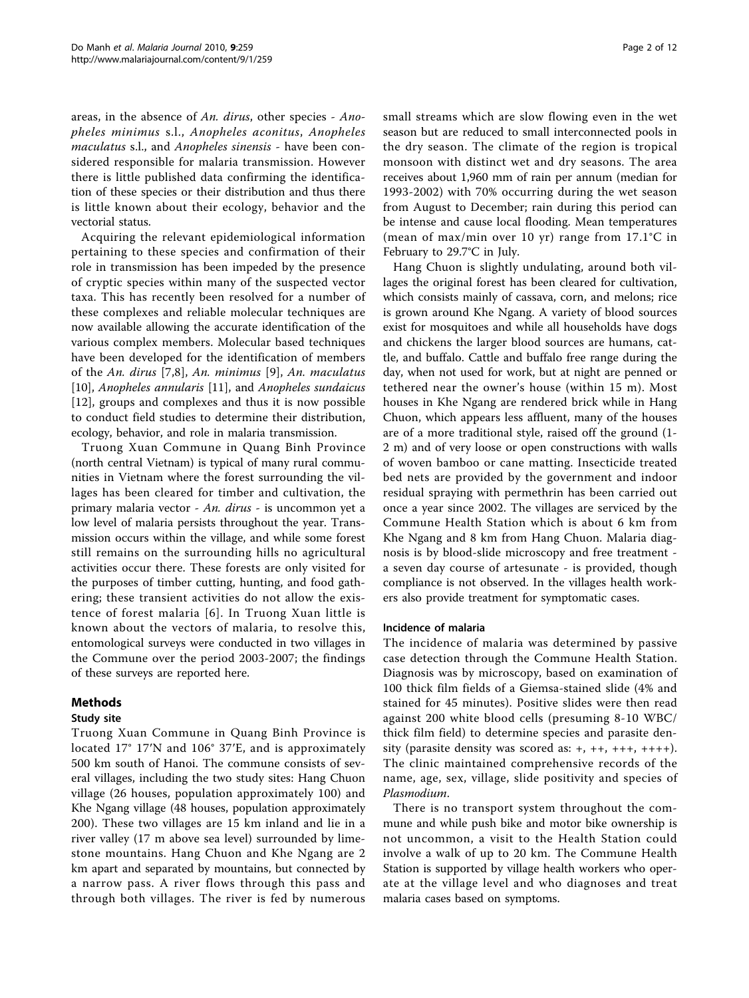areas, in the absence of An. dirus, other species - Anopheles minimus s.l., Anopheles aconitus, Anopheles maculatus s.l., and Anopheles sinensis - have been considered responsible for malaria transmission. However there is little published data confirming the identification of these species or their distribution and thus there is little known about their ecology, behavior and the vectorial status.

Acquiring the relevant epidemiological information pertaining to these species and confirmation of their role in transmission has been impeded by the presence of cryptic species within many of the suspected vector taxa. This has recently been resolved for a number of these complexes and reliable molecular techniques are now available allowing the accurate identification of the various complex members. Molecular based techniques have been developed for the identification of members of the An. dirus [\[7,8\]](#page-10-0), An. minimus [[9\]](#page-10-0), An. maculatus [[10\]](#page-10-0), Anopheles annularis [[11\]](#page-10-0), and Anopheles sundaicus [[12](#page-11-0)], groups and complexes and thus it is now possible to conduct field studies to determine their distribution, ecology, behavior, and role in malaria transmission.

Truong Xuan Commune in Quang Binh Province (north central Vietnam) is typical of many rural communities in Vietnam where the forest surrounding the villages has been cleared for timber and cultivation, the primary malaria vector - An. dirus - is uncommon yet a low level of malaria persists throughout the year. Transmission occurs within the village, and while some forest still remains on the surrounding hills no agricultural activities occur there. These forests are only visited for the purposes of timber cutting, hunting, and food gathering; these transient activities do not allow the existence of forest malaria [[6\]](#page-10-0). In Truong Xuan little is known about the vectors of malaria, to resolve this, entomological surveys were conducted in two villages in the Commune over the period 2003-2007; the findings of these surveys are reported here.

# Methods

# Study site

Truong Xuan Commune in Quang Binh Province is located 17° 17′N and 106° 37′E, and is approximately 500 km south of Hanoi. The commune consists of several villages, including the two study sites: Hang Chuon village (26 houses, population approximately 100) and Khe Ngang village (48 houses, population approximately 200). These two villages are 15 km inland and lie in a river valley (17 m above sea level) surrounded by limestone mountains. Hang Chuon and Khe Ngang are 2 km apart and separated by mountains, but connected by a narrow pass. A river flows through this pass and through both villages. The river is fed by numerous small streams which are slow flowing even in the wet season but are reduced to small interconnected pools in the dry season. The climate of the region is tropical monsoon with distinct wet and dry seasons. The area receives about 1,960 mm of rain per annum (median for 1993-2002) with 70% occurring during the wet season from August to December; rain during this period can be intense and cause local flooding. Mean temperatures (mean of max/min over 10 yr) range from 17.1°C in February to 29.7°C in July.

Hang Chuon is slightly undulating, around both villages the original forest has been cleared for cultivation, which consists mainly of cassava, corn, and melons; rice is grown around Khe Ngang. A variety of blood sources exist for mosquitoes and while all households have dogs and chickens the larger blood sources are humans, cattle, and buffalo. Cattle and buffalo free range during the day, when not used for work, but at night are penned or tethered near the owner's house (within 15 m). Most houses in Khe Ngang are rendered brick while in Hang Chuon, which appears less affluent, many of the houses are of a more traditional style, raised off the ground (1- 2 m) and of very loose or open constructions with walls of woven bamboo or cane matting. Insecticide treated bed nets are provided by the government and indoor residual spraying with permethrin has been carried out once a year since 2002. The villages are serviced by the Commune Health Station which is about 6 km from Khe Ngang and 8 km from Hang Chuon. Malaria diagnosis is by blood-slide microscopy and free treatment a seven day course of artesunate - is provided, though compliance is not observed. In the villages health workers also provide treatment for symptomatic cases.

# Incidence of malaria

The incidence of malaria was determined by passive case detection through the Commune Health Station. Diagnosis was by microscopy, based on examination of 100 thick film fields of a Giemsa-stained slide (4% and stained for 45 minutes). Positive slides were then read against 200 white blood cells (presuming 8-10 WBC/ thick film field) to determine species and parasite density (parasite density was scored as:  $+, ++, +++, ++++$ ). The clinic maintained comprehensive records of the name, age, sex, village, slide positivity and species of Plasmodium.

There is no transport system throughout the commune and while push bike and motor bike ownership is not uncommon, a visit to the Health Station could involve a walk of up to 20 km. The Commune Health Station is supported by village health workers who operate at the village level and who diagnoses and treat malaria cases based on symptoms.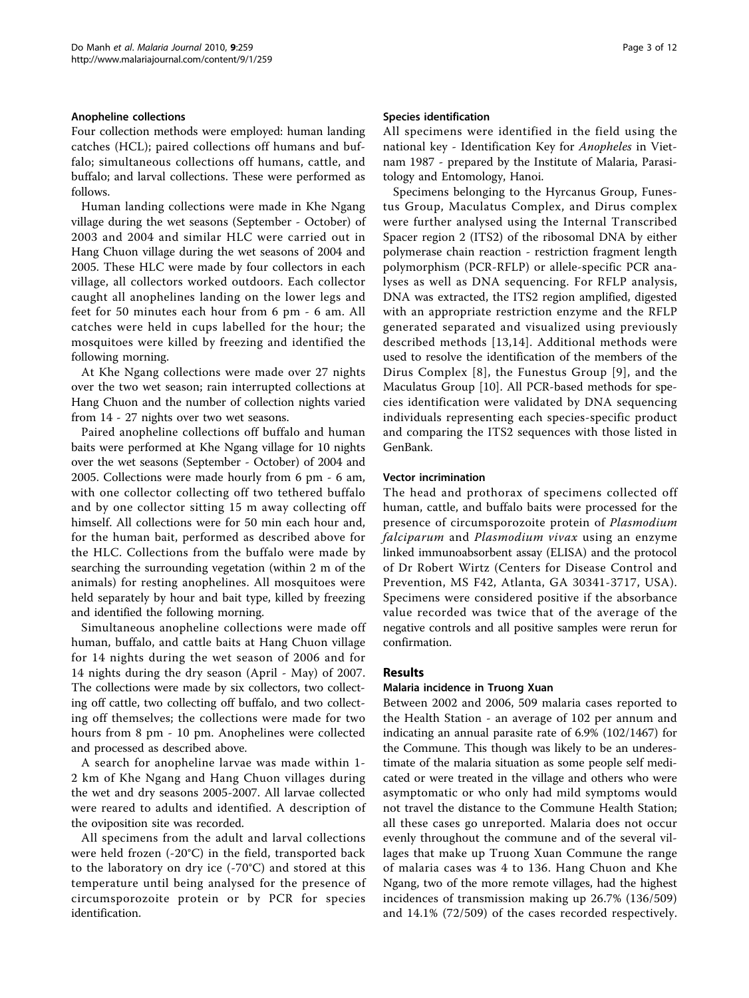# Anopheline collections

Four collection methods were employed: human landing catches (HCL); paired collections off humans and buffalo; simultaneous collections off humans, cattle, and buffalo; and larval collections. These were performed as follows.

Human landing collections were made in Khe Ngang village during the wet seasons (September - October) of 2003 and 2004 and similar HLC were carried out in Hang Chuon village during the wet seasons of 2004 and 2005. These HLC were made by four collectors in each village, all collectors worked outdoors. Each collector caught all anophelines landing on the lower legs and feet for 50 minutes each hour from 6 pm - 6 am. All catches were held in cups labelled for the hour; the mosquitoes were killed by freezing and identified the following morning.

At Khe Ngang collections were made over 27 nights over the two wet season; rain interrupted collections at Hang Chuon and the number of collection nights varied from 14 - 27 nights over two wet seasons.

Paired anopheline collections off buffalo and human baits were performed at Khe Ngang village for 10 nights over the wet seasons (September - October) of 2004 and 2005. Collections were made hourly from 6 pm - 6 am, with one collector collecting off two tethered buffalo and by one collector sitting 15 m away collecting off himself. All collections were for 50 min each hour and, for the human bait, performed as described above for the HLC. Collections from the buffalo were made by searching the surrounding vegetation (within 2 m of the animals) for resting anophelines. All mosquitoes were held separately by hour and bait type, killed by freezing and identified the following morning.

Simultaneous anopheline collections were made off human, buffalo, and cattle baits at Hang Chuon village for 14 nights during the wet season of 2006 and for 14 nights during the dry season (April - May) of 2007. The collections were made by six collectors, two collecting off cattle, two collecting off buffalo, and two collecting off themselves; the collections were made for two hours from 8 pm - 10 pm. Anophelines were collected and processed as described above.

A search for anopheline larvae was made within 1- 2 km of Khe Ngang and Hang Chuon villages during the wet and dry seasons 2005-2007. All larvae collected were reared to adults and identified. A description of the oviposition site was recorded.

All specimens from the adult and larval collections were held frozen (-20°C) in the field, transported back to the laboratory on dry ice  $(-70^{\circ}C)$  and stored at this temperature until being analysed for the presence of circumsporozoite protein or by PCR for species identification.

#### Species identification

All specimens were identified in the field using the national key - Identification Key for Anopheles in Vietnam 1987 - prepared by the Institute of Malaria, Parasitology and Entomology, Hanoi.

Specimens belonging to the Hyrcanus Group, Funestus Group, Maculatus Complex, and Dirus complex were further analysed using the Internal Transcribed Spacer region 2 (ITS2) of the ribosomal DNA by either polymerase chain reaction - restriction fragment length polymorphism (PCR-RFLP) or allele-specific PCR analyses as well as DNA sequencing. For RFLP analysis, DNA was extracted, the ITS2 region amplified, digested with an appropriate restriction enzyme and the RFLP generated separated and visualized using previously described methods [\[13,14\]](#page-11-0). Additional methods were used to resolve the identification of the members of the Dirus Complex [[8\]](#page-10-0), the Funestus Group [[9](#page-10-0)], and the Maculatus Group [\[10](#page-10-0)]. All PCR-based methods for species identification were validated by DNA sequencing individuals representing each species-specific product and comparing the ITS2 sequences with those listed in GenBank.

# Vector incrimination

The head and prothorax of specimens collected off human, cattle, and buffalo baits were processed for the presence of circumsporozoite protein of Plasmodium falciparum and Plasmodium vivax using an enzyme linked immunoabsorbent assay (ELISA) and the protocol of Dr Robert Wirtz (Centers for Disease Control and Prevention, MS F42, Atlanta, GA 30341-3717, USA). Specimens were considered positive if the absorbance value recorded was twice that of the average of the negative controls and all positive samples were rerun for confirmation.

# Results

#### Malaria incidence in Truong Xuan

Between 2002 and 2006, 509 malaria cases reported to the Health Station - an average of 102 per annum and indicating an annual parasite rate of 6.9% (102/1467) for the Commune. This though was likely to be an underestimate of the malaria situation as some people self medicated or were treated in the village and others who were asymptomatic or who only had mild symptoms would not travel the distance to the Commune Health Station; all these cases go unreported. Malaria does not occur evenly throughout the commune and of the several villages that make up Truong Xuan Commune the range of malaria cases was 4 to 136. Hang Chuon and Khe Ngang, two of the more remote villages, had the highest incidences of transmission making up 26.7% (136/509) and 14.1% (72/509) of the cases recorded respectively.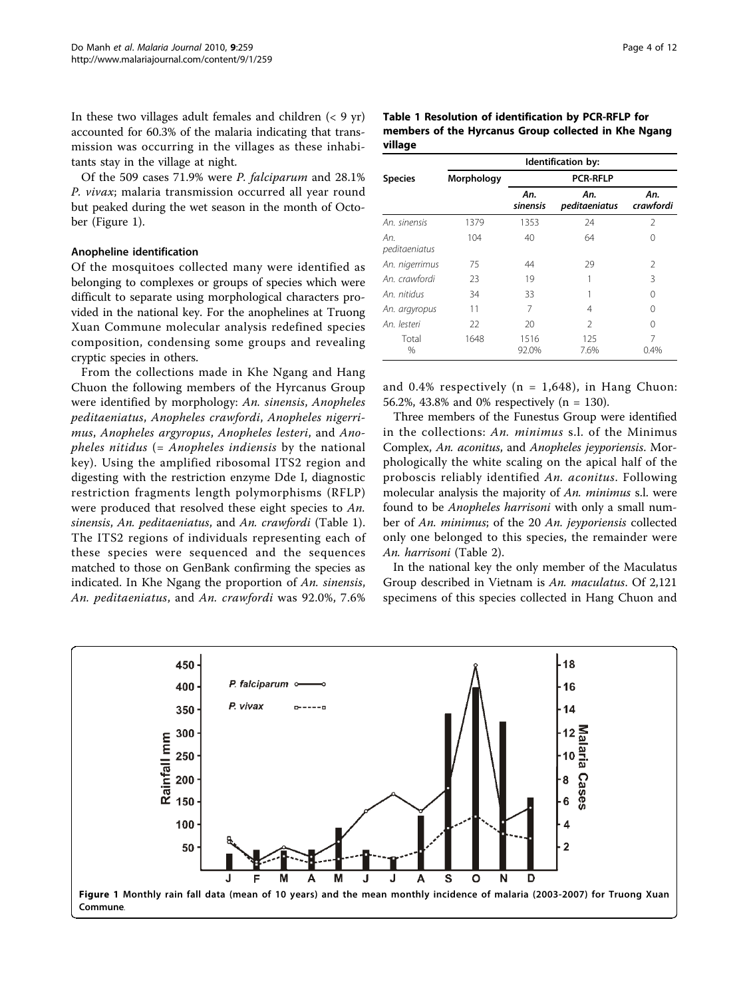In these two villages adult females and children  $(< 9 \text{ yr})$ accounted for 60.3% of the malaria indicating that transmission was occurring in the villages as these inhabitants stay in the village at night.

Of the 509 cases 71.9% were P. falciparum and 28.1% P. vivax; malaria transmission occurred all year round but peaked during the wet season in the month of October (Figure 1).

# Anopheline identification

Of the mosquitoes collected many were identified as belonging to complexes or groups of species which were difficult to separate using morphological characters provided in the national key. For the anophelines at Truong Xuan Commune molecular analysis redefined species composition, condensing some groups and revealing cryptic species in others.

From the collections made in Khe Ngang and Hang Chuon the following members of the Hyrcanus Group were identified by morphology: An. sinensis, Anopheles peditaeniatus, Anopheles crawfordi, Anopheles nigerrimus, Anopheles argyropus, Anopheles lesteri, and Anopheles nitidus (= Anopheles indiensis by the national key). Using the amplified ribosomal ITS2 region and digesting with the restriction enzyme Dde I, diagnostic restriction fragments length polymorphisms (RFLP) were produced that resolved these eight species to An. sinensis, An. peditaeniatus, and An. crawfordi (Table 1). The ITS2 regions of individuals representing each of these species were sequenced and the sequences matched to those on GenBank confirming the species as indicated. In Khe Ngang the proportion of An. sinensis, An. peditaeniatus, and An. crawfordi was 92.0%, 7.6%

| Table 1 Resolution of identification by PCR-RFLP for |
|------------------------------------------------------|
| members of the Hyrcanus Group collected in Khe Ngang |
| village                                              |

|                      |            |                 | Identification by:   |                  |  |  |  |  |
|----------------------|------------|-----------------|----------------------|------------------|--|--|--|--|
| <b>Species</b>       | Morphology | <b>PCR-RFLP</b> |                      |                  |  |  |  |  |
|                      |            | An.<br>sinensis | An.<br>peditaeniatus | An.<br>crawfordi |  |  |  |  |
| An. sinensis         | 1379       | 1353            | 24                   | 2                |  |  |  |  |
| An.<br>peditaeniatus | 104        | 40              | 64                   | Ω                |  |  |  |  |
| An. nigerrimus       | 75         | 44              | 29                   | $\mathfrak{D}$   |  |  |  |  |
| An. crawfordi        | 23         | 19              |                      | 3                |  |  |  |  |
| An. nitidus          | 34         | 33              |                      | ∩                |  |  |  |  |
| An. argyropus        | 11         | 7               | 4                    | Ω                |  |  |  |  |
| An. lesteri          | 22         | 20              | $\mathfrak{D}$       | Ω                |  |  |  |  |
| Total<br>%           | 1648       | 1516<br>92.0%   | 125<br>7.6%          | 7<br>0.4%        |  |  |  |  |

and 0.4% respectively ( $n = 1,648$ ), in Hang Chuon: 56.2%, 43.8% and 0% respectively (n = 130).

Three members of the Funestus Group were identified in the collections: An. minimus s.l. of the Minimus Complex, An. aconitus, and Anopheles jeyporiensis. Morphologically the white scaling on the apical half of the proboscis reliably identified An. aconitus. Following molecular analysis the majority of An. minimus s.l. were found to be *Anopheles harrisoni* with only a small number of An. minimus; of the 20 An. jeyporiensis collected only one belonged to this species, the remainder were An. harrisoni (Table [2\)](#page-4-0).

In the national key the only member of the Maculatus Group described in Vietnam is An. maculatus. Of 2,121 specimens of this species collected in Hang Chuon and

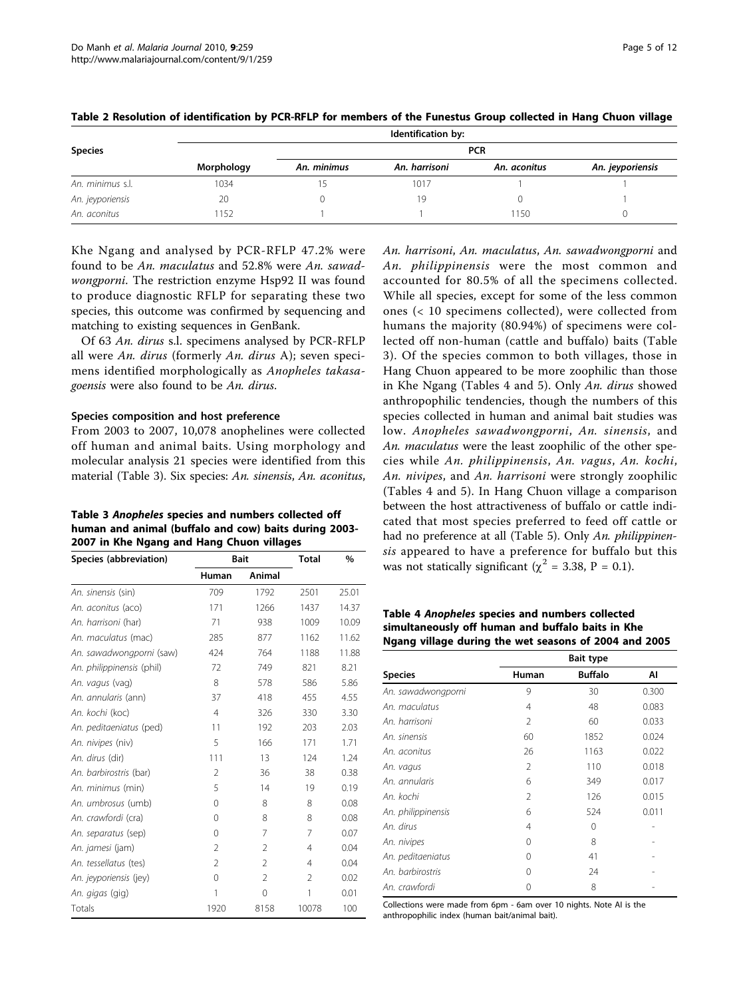|                  |            | identification by: |               |              |                  |  |  |  |  |
|------------------|------------|--------------------|---------------|--------------|------------------|--|--|--|--|
| <b>Species</b>   |            |                    |               |              |                  |  |  |  |  |
|                  | Morphology | An. minimus        | An. harrisoni | An. aconitus | An. jeyporiensis |  |  |  |  |
| An. minimus s.l. | 1034       |                    | 1017          |              |                  |  |  |  |  |
| An. jeyporiensis | 20         |                    | 19            |              |                  |  |  |  |  |
| An. aconitus     | 1152       |                    |               | 1150         |                  |  |  |  |  |

#### <span id="page-4-0"></span>Table 2 Resolution of identification by PCR-RFLP for members of the Funestus Group collected in Hang Chuon village

Identification by:

Khe Ngang and analysed by PCR-RFLP 47.2% were found to be An. maculatus and 52.8% were An. sawadwongporni. The restriction enzyme Hsp92 II was found to produce diagnostic RFLP for separating these two species, this outcome was confirmed by sequencing and matching to existing sequences in GenBank.

Of 63 An. dirus s.l. specimens analysed by PCR-RFLP all were An. dirus (formerly An. dirus A); seven specimens identified morphologically as Anopheles takasagoensis were also found to be An. dirus.

# Species composition and host preference

From 2003 to 2007, 10,078 anophelines were collected off human and animal baits. Using morphology and molecular analysis 21 species were identified from this material (Table 3). Six species: An. sinensis, An. aconitus,

| Table 3 Anopheles species and numbers collected off   |  |
|-------------------------------------------------------|--|
| human and animal (buffalo and cow) baits during 2003- |  |
| 2007 in Khe Ngang and Hang Chuon villages             |  |

| Species (abbreviation)    |                | <b>Bait</b> | <b>Total</b> | $\%$  |
|---------------------------|----------------|-------------|--------------|-------|
|                           | Human          | Animal      |              |       |
| An. sinensis (sin)        | 709            | 1792        | 2501         | 25.01 |
| An. aconitus (aco)        | 171            | 1266        | 1437         | 14.37 |
| An. harrisoni (har)       | 71             | 938         | 1009         | 10.09 |
| An. maculatus (mac)       | 285            | 877         | 1162         | 11.62 |
| An. sawadwongporni (saw)  | 424            | 764         | 1188         | 11.88 |
| An. philippinensis (phil) | 72             | 749         | 821          | 8.21  |
| An. vagus (vag)           | 8              | 578         | 586          | 5.86  |
| An. annularis (ann)       | 37             | 418         | 455          | 4.55  |
| An. kochi (koc)           | $\overline{4}$ | 326         | 330          | 3.30  |
| An. peditaeniatus (ped)   | 11             | 192         | 203          | 2.03  |
| An. nivipes (niv)         | 5              | 166         | 171          | 1.71  |
| An. dirus (dir)           | 111            | 13          | 124          | 1.24  |
| An. barbirostris (bar)    | $\mathfrak{D}$ | 36          | 38           | 0.38  |
| An. minimus (min)         | 5              | 14          | 19           | 0.19  |
| An. umbrosus (umb)        | 0              | 8           | 8            | 0.08  |
| An. crawfordi (cra)       | 0              | 8           | 8            | 0.08  |
| An. separatus (sep)       | 0              | 7           | 7            | 0.07  |
| An. jamesi (jam)          | 2              | 2           | 4            | 0.04  |
| An. tessellatus (tes)     | 2              | 2           | 4            | 0.04  |
| An. jeyporiensis (jey)    | 0              | 2           | 2            | 0.02  |
| An. gigas (gig)           | 1              | 0           | 1            | 0.01  |
| Totals                    | 1920           | 8158        | 10078        | 100   |

An. harrisoni, An. maculatus, An. sawadwongporni and An. philippinensis were the most common and accounted for 80.5% of all the specimens collected. While all species, except for some of the less common ones (< 10 specimens collected), were collected from humans the majority (80.94%) of specimens were collected off non-human (cattle and buffalo) baits (Table 3). Of the species common to both villages, those in Hang Chuon appeared to be more zoophilic than those in Khe Ngang (Tables 4 and [5\)](#page-5-0). Only An. dirus showed anthropophilic tendencies, though the numbers of this species collected in human and animal bait studies was low. Anopheles sawadwongporni, An. sinensis, and An. maculatus were the least zoophilic of the other species while An. philippinensis, An. vagus, An. kochi, An. nivipes, and An. harrisoni were strongly zoophilic (Tables 4 and [5\)](#page-5-0). In Hang Chuon village a comparison between the host attractiveness of buffalo or cattle indicated that most species preferred to feed off cattle or had no preference at all (Table [5](#page-5-0)). Only An. philippinensis appeared to have a preference for buffalo but this was not statically significant ( $\chi^2$  = 3.38, P = 0.1).

Table 4 Anopheles species and numbers collected simultaneously off human and buffalo baits in Khe Ngang village during the wet seasons of 2004 and 2005

|                    |                | <b>Bait type</b> |       |
|--------------------|----------------|------------------|-------|
| <b>Species</b>     | Human          | <b>Buffalo</b>   | AI    |
| An. sawadwongporni | 9              | 30               | 0.300 |
| An. maculatus      | 4              | 48               | 0.083 |
| An. harrisoni      | $\mathfrak{D}$ | 60               | 0.033 |
| An sinensis        | 60             | 1852             | 0.024 |
| An. aconitus       | 26             | 1163             | 0.022 |
| An. vagus          | $\mathcal{P}$  | 110              | 0.018 |
| An. annularis      | 6              | 349              | 0.017 |
| An. kochi          | $\mathfrak{D}$ | 126              | 0.015 |
| An. philippinensis | 6              | 524              | 0.011 |
| An. dirus          | 4              | $\Omega$         |       |
| An. nivipes        | 0              | 8                |       |
| An. peditaeniatus  | ∩              | 41               |       |
| An. barbirostris   | ∩              | 24               |       |
| An. crawfordi      | 0              | 8                |       |

Collections were made from 6pm - 6am over 10 nights. Note AI is the anthropophilic index (human bait/animal bait).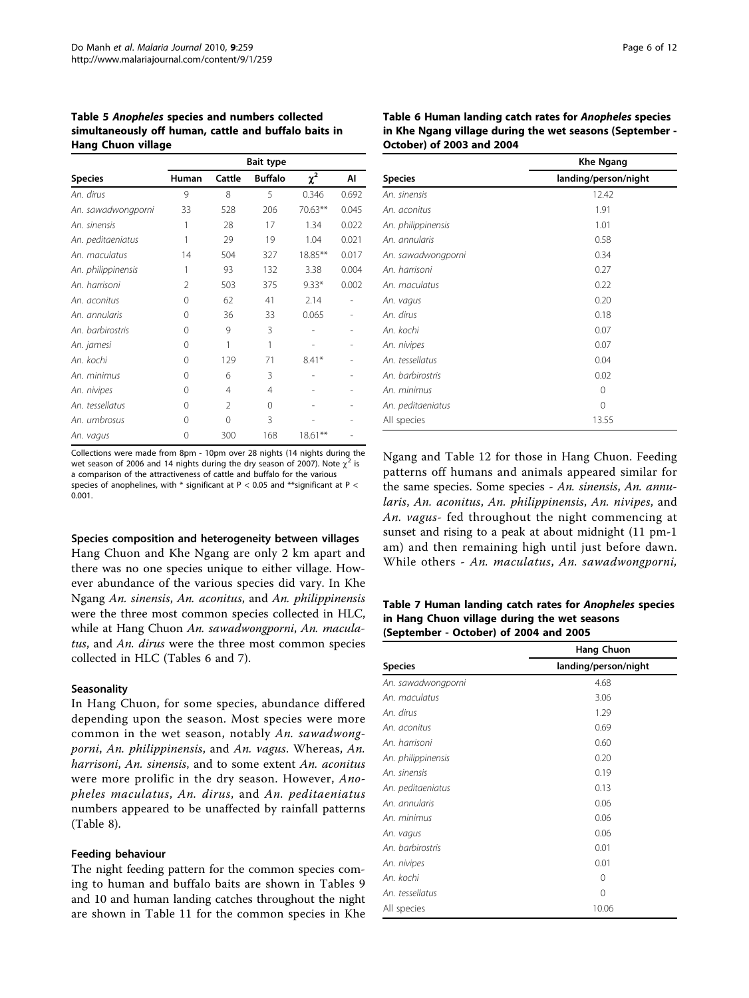<span id="page-5-0"></span>Table 5 Anopheles species and numbers collected simultaneously off human, cattle and buffalo baits in Hang Chuon village

|                    |          |                | <b>Bait type</b>         |            |       |
|--------------------|----------|----------------|--------------------------|------------|-------|
| <b>Species</b>     | Human    | Cattle         | <b>Buffalo</b>           | $\chi^2$   | ΑI    |
| An. dirus          | 9        | 8              | 5                        | 0.346      | 0.692 |
| An. sawadwongporni | 33       | 528            | 206                      | 70.63**    | 0.045 |
| An. sinensis       | 1        | 28             | 17                       | 1.34       | 0.022 |
| An. peditaeniatus  | 1        | 29             | 19                       | 1.04       | 0.021 |
| An. maculatus      | 14       | 504            | 327                      | 18.85**    | 0.017 |
| An. philippinensis | 1        | 93             | 132                      | 3.38       | 0.004 |
| An, harrisoni      | 2        | 503            | 375                      | $9.33*$    | 0.002 |
| An. aconitus       | 0        | 62             | 41                       | 2.14       |       |
| An. annularis      | $\Omega$ | 36             | 33                       | 0.065      |       |
| An. barbirostris   | 0        | 9              | 3                        |            |       |
| An. jamesi         | 0        |                |                          |            |       |
| An. kochi          | 0        | 129            | 71                       | $8.41*$    |       |
| An. minimus        | 0        | 6              | 3                        |            |       |
| An. nivipes        | $\Omega$ | 4              | 4                        |            |       |
| An. tessellatus    | $\Omega$ | $\mathfrak{D}$ | $\Omega$                 |            |       |
| An. umbrosus       | $\Omega$ | $\Omega$       | $\overline{\mathcal{E}}$ |            |       |
| An. vagus          | 0        | 300            | 168                      | $18.61***$ |       |

Collections were made from 8pm - 10pm over 28 nights (14 nights during the wet season of 2006 and 14 nights during the dry season of 2007). Note  $\chi^2$  is a comparison of the attractiveness of cattle and buffalo for the various species of anophelines, with  $*$  significant at P < 0.05 and  $**$ significant at P < 0.001.

#### Species composition and heterogeneity between villages

Hang Chuon and Khe Ngang are only 2 km apart and there was no one species unique to either village. However abundance of the various species did vary. In Khe Ngang An. sinensis, An. aconitus, and An. philippinensis were the three most common species collected in HLC, while at Hang Chuon An. sawadwongporni, An. maculatus, and An. dirus were the three most common species collected in HLC (Tables 6 and 7).

#### **Seasonality**

In Hang Chuon, for some species, abundance differed depending upon the season. Most species were more common in the wet season, notably An. sawadwongporni, An. philippinensis, and An. vagus. Whereas, An. harrisoni, An. sinensis, and to some extent An. aconitus were more prolific in the dry season. However, Anopheles maculatus, An. dirus, and An. peditaeniatus numbers appeared to be unaffected by rainfall patterns (Table [8\)](#page-6-0).

#### Feeding behaviour

The night feeding pattern for the common species coming to human and buffalo baits are shown in Tables [9](#page-6-0) and [10](#page-6-0) and human landing catches throughout the night are shown in Table [11](#page-6-0) for the common species in Khe Table 6 Human landing catch rates for Anopheles species in Khe Ngang village during the wet seasons (September - October) of 2003 and 2004

|                    | <b>Khe Ngang</b>     |
|--------------------|----------------------|
| <b>Species</b>     | landing/person/night |
| An. sinensis       | 12.42                |
| An. aconitus       | 1.91                 |
| An. philippinensis | 1.01                 |
| An. annularis      | 0.58                 |
| An. sawadwongporni | 0.34                 |
| An, harrisoni      | 0.27                 |
| An. maculatus      | 0.22                 |
| An. vagus          | 0.20                 |
| An. dirus          | 0.18                 |
| An. kochi          | 0.07                 |
| An. nivipes        | 0.07                 |
| An. tessellatus    | 0.04                 |
| An. barbirostris   | 0.02                 |
| An. minimus        | $\Omega$             |
| An. peditaeniatus  | $\Omega$             |
| All species        | 13.55                |

Ngang and Table [12](#page-7-0) for those in Hang Chuon. Feeding patterns off humans and animals appeared similar for the same species. Some species - An. sinensis, An. annularis, An. aconitus, An. philippinensis, An. nivipes, and An. vagus- fed throughout the night commencing at sunset and rising to a peak at about midnight (11 pm-1 am) and then remaining high until just before dawn. While others - An. maculatus, An. sawadwongporni,

Table 7 Human landing catch rates for Anopheles species in Hang Chuon village during the wet seasons (September - October) of 2004 and 2005

|                    | Hang Chuon           |
|--------------------|----------------------|
| <b>Species</b>     | landing/person/night |
| An. sawadwongporni | 4.68                 |
| An. maculatus      | 3.06                 |
| An. dirus          | 1.29                 |
| An. aconitus       | 0.69                 |
| An. harrisoni      | 0.60                 |
| An. philippinensis | 0.20                 |
| An. sinensis       | 0.19                 |
| An. peditaeniatus  | 0.13                 |
| An, annularis      | 0.06                 |
| An. minimus        | 0.06                 |
| An. vagus          | 0.06                 |
| An. barbirostris   | 0.01                 |
| An. nivipes        | 0.01                 |
| An. kochi          | 0                    |
| An. tessellatus    | $\Omega$             |
| All species        | 10.06                |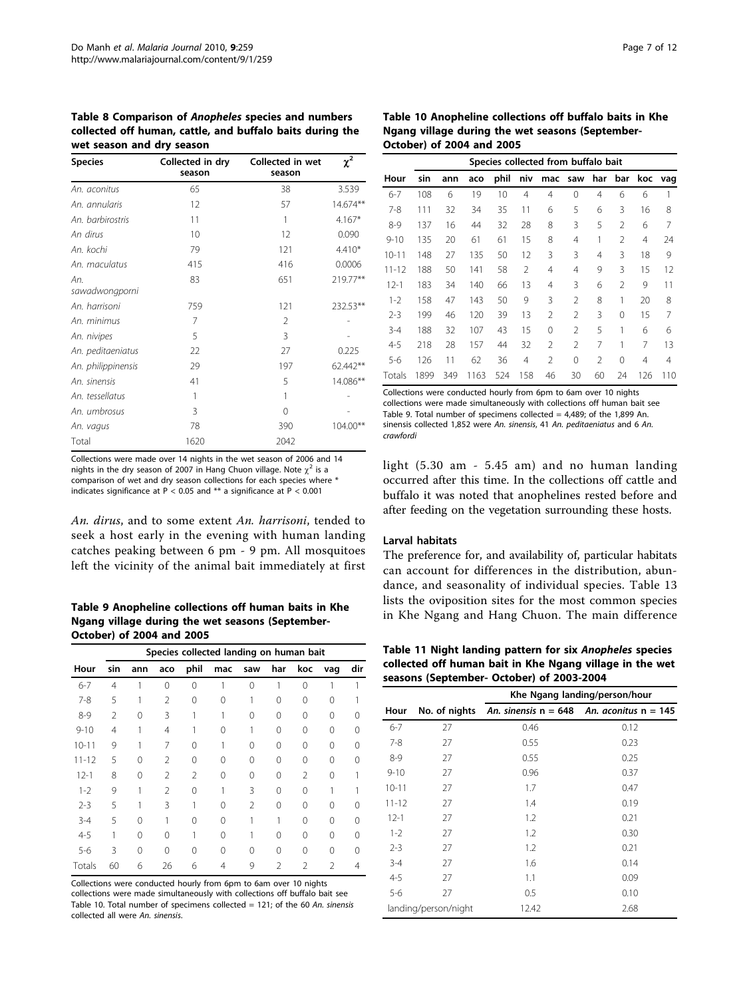<span id="page-6-0"></span>Table 8 Comparison of Anopheles species and numbers collected off human, cattle, and buffalo baits during the wet season and dry season

| <b>Species</b>        | Collected in dry<br>season | Collected in wet<br>season | $\chi^2$ |
|-----------------------|----------------------------|----------------------------|----------|
| An. aconitus          | 65                         | 38                         | 3.539    |
| An, annularis         | 12                         | 57                         | 14.674** |
| An. barbirostris      | 11                         | 1                          | $4.167*$ |
| An dirus              | 10                         | 12                         | 0.090    |
| An. kochi             | 79                         | 121                        | 4.410*   |
| An. maculatus         | 415                        | 416                        | 0.0006   |
| An.<br>sawadwongporni | 83                         | 651                        | 219.77** |
| An. harrisoni         | 759                        | 121                        | 232.53** |
| An. minimus           | 7                          | $\mathfrak{D}$             |          |
| An. nivipes           | 5                          | 3                          |          |
| An. peditaeniatus     | 22                         | 27                         | 0.225    |
| An. philippinensis    | 29                         | 197                        | 62.442** |
| An. sinensis          | 41                         | 5                          | 14.086** |
| An. tessellatus       | 1                          | 1                          |          |
| An. umbrosus          | 3                          | $\Omega$                   |          |
| An. vagus             | 78                         | 390                        | 104.00** |
| Total                 | 1620                       | 2042                       |          |

Collections were made over 14 nights in the wet season of 2006 and 14 nights in the dry season of 2007 in Hang Chuon village. Note  $\chi^2$  is a comparison of wet and dry season collections for each species where \* indicates significance at P < 0.05 and \*\* a significance at P < 0.001

An. dirus, and to some extent An. harrisoni, tended to seek a host early in the evening with human landing catches peaking between 6 pm - 9 pm. All mosquitoes left the vicinity of the animal bait immediately at first

#### Table 9 Anopheline collections off human baits in Khe Ngang village during the wet seasons (September-October) of 2004 and 2005

|           | Species collected landing on human bait |     |                |                |     |               |     |                |     |          |  |
|-----------|-----------------------------------------|-----|----------------|----------------|-----|---------------|-----|----------------|-----|----------|--|
| Hour      | sin                                     | ann | aco            | phil           | mac | saw           | har | koc            | vag | dir      |  |
| $6 - 7$   | 4                                       | 1   | $\Omega$       | $\Omega$       | 1   | $\Omega$      | 1   | 0              | 1   |          |  |
| $7 - 8$   | 5                                       |     | 2              | 0              | 0   | 1             | 0   | 0              | 0   |          |  |
| $8-9$     | $\mathfrak{D}$                          | 0   | 3              |                |     | Λ             | 0   | Ω              | 0   | 0        |  |
| $9 - 10$  | 4                                       |     | 4              |                | 0   |               | 0   | 0              | 0   | $^{(1)}$ |  |
| $10 - 11$ | 9                                       |     | 7              | Ω              |     | Ω             | 0   | Ω              | 0   |          |  |
| $11 - 12$ | 5                                       | 0   | 2              | 0              | 0   | 0             | 0   | 0              | 0   | 0        |  |
| $12 - 1$  | 8                                       | 0   | $\mathfrak{D}$ | $\mathfrak{D}$ | 0   | 0             | 0   | $\mathfrak{D}$ | 0   |          |  |
| $1 - 2$   | 9                                       |     | 2              | 0              |     | 3             | 0   | 0              |     |          |  |
| $2 - 3$   | 5                                       |     | 3              |                | 0   | $\mathcal{P}$ | 0   | Ω              | 0   |          |  |
| $3 - 4$   | 5                                       | 0   |                | 0              | 0   | 1             |     | 0              | 0   |          |  |
| $4 - 5$   | 1                                       | ∩   | 0              |                | 0   |               | ∩   | Ω              | 0   |          |  |
| $5 - 6$   | ζ                                       | 0   | 0              | Ω              | 0   | 0             | 0   | Ω              | 0   |          |  |
| Totals    | 60                                      | 6   | 26             | 6              | 4   | 9             | 2   |                | 2   |          |  |

Collections were conducted hourly from 6pm to 6am over 10 nights collections were made simultaneously with collections off buffalo bait see Table 10. Total number of specimens collected = 121; of the 60 An. sinensis collected all were An. sinensis.

Table 10 Anopheline collections off buffalo baits in Khe Ngang village during the wet seasons (September-October) of 2004 and 2005

|           |      | Species collected from buffalo bait |      |      |                |                |                |                |                |     |     |
|-----------|------|-------------------------------------|------|------|----------------|----------------|----------------|----------------|----------------|-----|-----|
| Hour      | sin  | ann                                 | aco  | phil | niv            | mac            | saw            | har            | bar            | koc | vag |
| $6 - 7$   | 108  | 6                                   | 19   | 10   | 4              | 4              | $\Omega$       | $\overline{4}$ | 6              | 6   | 1   |
| 7-8       | 111  | 32                                  | 34   | 35   | 11             | 6              | 5              | 6              | 3              | 16  | 8   |
| $8-9$     | 137  | 16                                  | 44   | 32   | 28             | 8              | 3              | 5              | $\overline{2}$ | 6   | 7   |
| $9 - 10$  | 135  | 20                                  | 61   | 61   | 15             | 8              | 4              | 1              | 2              | 4   | 24  |
| $10 - 11$ | 148  | 27                                  | 135  | 50   | 12             | 3              | 3              | $\overline{4}$ | 3              | 18  | 9   |
| $11 - 12$ | 188  | 50                                  | 141  | 58   | $\overline{2}$ | 4              | 4              | 9              | 3              | 15  | 12  |
| $12 - 1$  | 183  | 34                                  | 140  | 66   | 13             | 4              | 3              | 6              | $\overline{2}$ | 9   | 11  |
| $1 - 2$   | 158  | 47                                  | 143  | 50   | 9              | 3              | $\mathfrak{D}$ | 8              | 1              | 20  | 8   |
| $2 - 3$   | 199  | 46                                  | 120  | 39   | 13             | $\mathfrak{D}$ | $\mathfrak{D}$ | 3              | $\Omega$       | 15  | 7   |
| $3 - 4$   | 188  | 32                                  | 107  | 43   | 15             | $\Omega$       | $\overline{2}$ | 5              | 1              | 6   | 6   |
| $4 - 5$   | 218  | 28                                  | 157  | 44   | 32             | $\mathfrak{D}$ | $\mathfrak{D}$ | 7              | 1              | 7   | 13  |
| 5-6       | 126  | 11                                  | 62   | 36   | 4              | $\overline{2}$ | $\Omega$       | $\mathcal{P}$  | $\Omega$       | 4   | 4   |
| Totals    | 1899 | 349                                 | 1163 | 524  | 158            | 46             | 30             | 60             | 24             | 126 | 110 |

Collections were conducted hourly from 6pm to 6am over 10 nights collections were made simultaneously with collections off human bait see Table 9. Total number of specimens collected = 4,489; of the 1,899 An. sinensis collected 1,852 were An. sinensis, 41 An. peditaeniatus and 6 An. crawfordi

light (5.30 am - 5.45 am) and no human landing occurred after this time. In the collections off cattle and buffalo it was noted that anophelines rested before and after feeding on the vegetation surrounding these hosts.

#### Larval habitats

The preference for, and availability of, particular habitats can account for differences in the distribution, abundance, and seasonality of individual species. Table [13](#page-7-0) lists the oviposition sites for the most common species in Khe Ngang and Hang Chuon. The main difference

Table 11 Night landing pattern for six Anopheles species collected off human bait in Khe Ngang village in the wet seasons (September- October) of 2003-2004

|           |                      | Khe Ngang landing/person/hour |                                               |  |
|-----------|----------------------|-------------------------------|-----------------------------------------------|--|
| Hour      | No. of nights        |                               | An. sinensis $n = 648$ An. aconitus $n = 145$ |  |
| $6 - 7$   | 27                   | 0.46                          | 0.12                                          |  |
| 7-8       | 27                   | 0.55                          | 0.23                                          |  |
| $8-9$     | 27                   | 0.55                          | 0.25                                          |  |
| $9 - 10$  | 27                   | 0.96                          | 0.37                                          |  |
| $10 - 11$ | 27                   | 1.7                           | 0.47                                          |  |
| $11 - 12$ | 27                   | 1.4                           | 0.19                                          |  |
| $12 - 1$  | 27                   | 1.2                           | 0.21                                          |  |
| $1 - 2$   | 27                   | 1.2                           | 0.30                                          |  |
| $2 - 3$   | 27                   | 1.2                           | 0.21                                          |  |
| $3 - 4$   | 27                   | 1.6                           | 0.14                                          |  |
| $4 - 5$   | 27                   | 1.1                           | 0.09                                          |  |
| 5-6       | 27                   | 0.5                           | 0.10                                          |  |
|           | landing/person/night | 12.42                         | 2.68                                          |  |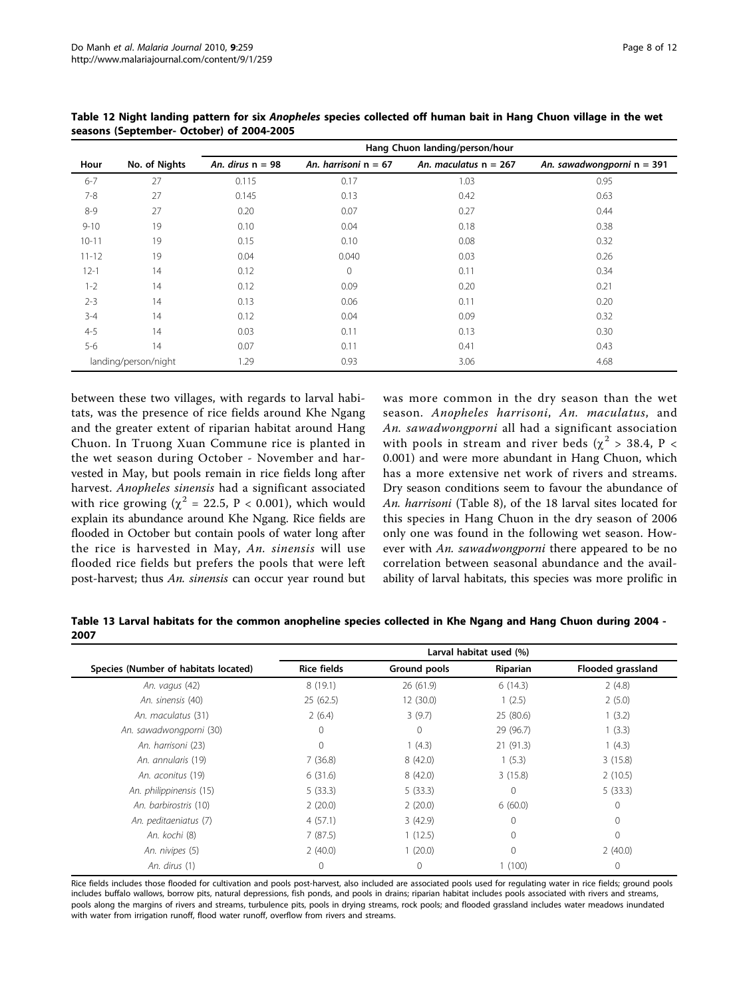|           |                      |                    | Hang Chuon landing/person/hour |                         |                            |  |  |
|-----------|----------------------|--------------------|--------------------------------|-------------------------|----------------------------|--|--|
| Hour      | No. of Nights        | An. dirus $n = 98$ | An. harrisoni $n = 67$         | An. maculatus $n = 267$ | An. sawadwongporni n = 391 |  |  |
| $6 - 7$   | 27                   | 0.115              | 0.17                           | 1.03                    | 0.95                       |  |  |
| $7 - 8$   | 27                   | 0.145              | 0.13                           | 0.42                    | 0.63                       |  |  |
| $8-9$     | 27                   | 0.20               | 0.07                           | 0.27                    | 0.44                       |  |  |
| $9 - 10$  | 19                   | 0.10               | 0.04                           | 0.18                    | 0.38                       |  |  |
| $10 - 11$ | 19                   | 0.15               | 0.10                           | 0.08                    | 0.32                       |  |  |
| $11 - 12$ | 19                   | 0.04               | 0.040                          | 0.03                    | 0.26                       |  |  |
| $12 - 1$  | 14                   | 0.12               | $\mathbf{0}$                   | 0.11                    | 0.34                       |  |  |
| $1 - 2$   | 14                   | 0.12               | 0.09                           | 0.20                    | 0.21                       |  |  |
| $2 - 3$   | 14                   | 0.13               | 0.06                           | 0.11                    | 0.20                       |  |  |
| $3 - 4$   | 14                   | 0.12               | 0.04                           | 0.09                    | 0.32                       |  |  |
| $4 - 5$   | 14                   | 0.03               | 0.11                           | 0.13                    | 0.30                       |  |  |
| $5 - 6$   | 14                   | 0.07               | 0.11                           | 0.41                    | 0.43                       |  |  |
|           | landing/person/night | 1.29               | 0.93                           | 3.06                    | 4.68                       |  |  |

<span id="page-7-0"></span>Table 12 Night landing pattern for six Anopheles species collected off human bait in Hang Chuon village in the wet seasons (September- October) of 2004-2005

between these two villages, with regards to larval habitats, was the presence of rice fields around Khe Ngang and the greater extent of riparian habitat around Hang Chuon. In Truong Xuan Commune rice is planted in the wet season during October - November and harvested in May, but pools remain in rice fields long after harvest. Anopheles sinensis had a significant associated with rice growing ( $\chi^2$  = 22.5, P < 0.001), which would explain its abundance around Khe Ngang. Rice fields are flooded in October but contain pools of water long after the rice is harvested in May, An. sinensis will use flooded rice fields but prefers the pools that were left post-harvest; thus An. sinensis can occur year round but

was more common in the dry season than the wet season. Anopheles harrisoni, An. maculatus, and An. sawadwongporni all had a significant association with pools in stream and river beds ( $\chi^2$  > 38.4, P < 0.001) and were more abundant in Hang Chuon, which has a more extensive net work of rivers and streams. Dry season conditions seem to favour the abundance of An. harrisoni (Table [8](#page-6-0)), of the 18 larval sites located for this species in Hang Chuon in the dry season of 2006 only one was found in the following wet season. However with An. sawadwongporni there appeared to be no correlation between seasonal abundance and the availability of larval habitats, this species was more prolific in

Table 13 Larval habitats for the common anopheline species collected in Khe Ngang and Hang Chuon during 2004 - 2007

|                                      | Larval habitat used (%) |              |              |                   |
|--------------------------------------|-------------------------|--------------|--------------|-------------------|
| Species (Number of habitats located) | Rice fields             | Ground pools | Riparian     | Flooded grassland |
| An. vagus (42)                       | 8(19.1)                 | 26 (61.9)    | 6(14.3)      | 2(4.8)            |
| An. sinensis (40)                    | 25(62.5)                | 12(30.0)     | 1(2.5)       | 2(5.0)            |
| An. maculatus (31)                   | 2(6.4)                  | 3(9.7)       | 25 (80.6)    | 1(3.2)            |
| An. sawadwongporni (30)              | $\Omega$                | $\Omega$     | 29 (96.7)    | 1(3.3)            |
| An. harrisoni (23)                   | $\Omega$                | 1(4.3)       | 21(91.3)     | 1(4.3)            |
| An. annularis (19)                   | 7(36.8)                 | 8(42.0)      | 1(5.3)       | 3(15.8)           |
| An. aconitus (19)                    | 6(31.6)                 | 8(42.0)      | 3(15.8)      | 2(10.5)           |
| An. philippinensis (15)              | 5(33.3)                 | 5(33.3)      | $\mathbf{0}$ | 5(33.3)           |
| An. barbirostris (10)                | 2(20.0)                 | 2(20.0)      | 6(60.0)      | $\Omega$          |
| An. peditaeniatus (7)                | 4(57.1)                 | 3(42.9)      | $\mathbf{0}$ | $\Omega$          |
| An. kochi (8)                        | 7(87.5)                 | 1(12.5)      | $\mathbf{0}$ | $\Omega$          |
| An. nivipes (5)                      | 2(40.0)                 | 1(20.0)      | 0            | 2(40.0)           |
| An. dirus (1)                        | $\Omega$                | $\mathbf 0$  | 1(100)       | 0                 |

Rice fields includes those flooded for cultivation and pools post-harvest, also included are associated pools used for regulating water in rice fields; ground pools includes buffalo wallows, borrow pits, natural depressions, fish ponds, and pools in drains; riparian habitat includes pools associated with rivers and streams, pools along the margins of rivers and streams, turbulence pits, pools in drying streams, rock pools; and flooded grassland includes water meadows inundated with water from irrigation runoff, flood water runoff, overflow from rivers and streams.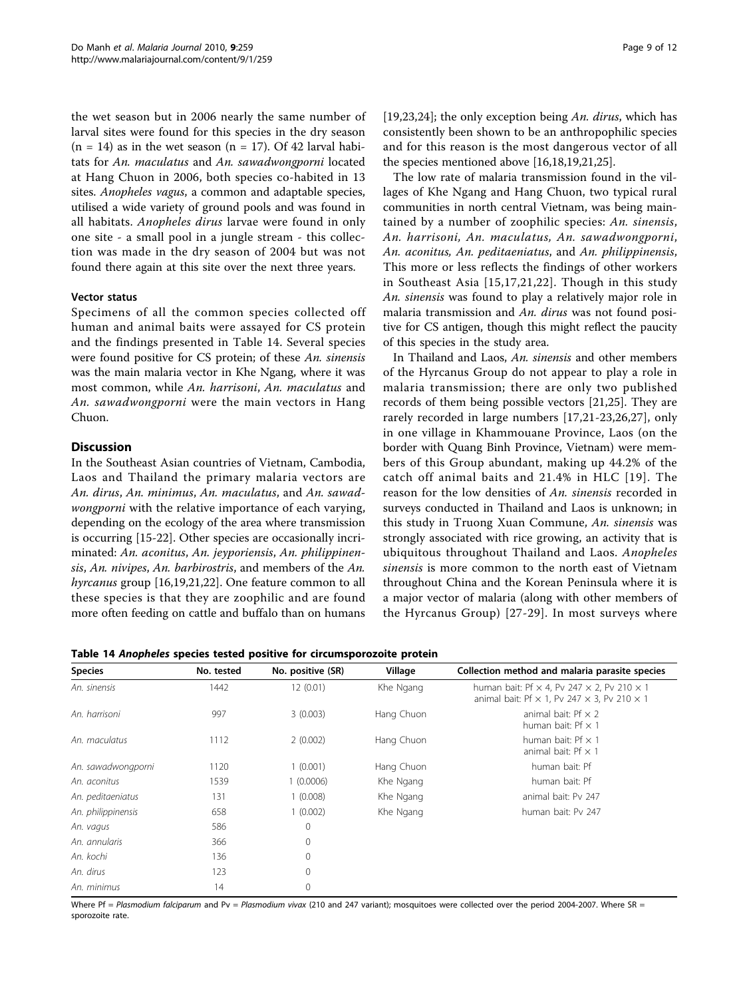the wet season but in 2006 nearly the same number of larval sites were found for this species in the dry season  $(n = 14)$  as in the wet season  $(n = 17)$ . Of 42 larval habitats for An. maculatus and An. sawadwongporni located at Hang Chuon in 2006, both species co-habited in 13 sites. Anopheles vagus, a common and adaptable species, utilised a wide variety of ground pools and was found in all habitats. Anopheles dirus larvae were found in only one site - a small pool in a jungle stream - this collection was made in the dry season of 2004 but was not found there again at this site over the next three years.

#### Vector status

Specimens of all the common species collected off human and animal baits were assayed for CS protein and the findings presented in Table 14. Several species were found positive for CS protein; of these An. sinensis was the main malaria vector in Khe Ngang, where it was most common, while An. harrisoni, An. maculatus and An. sawadwongporni were the main vectors in Hang Chuon.

# Discussion

In the Southeast Asian countries of Vietnam, Cambodia, Laos and Thailand the primary malaria vectors are An. dirus, An. minimus, An. maculatus, and An. sawadwongporni with the relative importance of each varying, depending on the ecology of the area where transmission is occurring [\[15-22](#page-11-0)]. Other species are occasionally incriminated: An. aconitus, An. jeyporiensis, An. philippinensis, An. nivipes, An. barbirostris, and members of the An. hyrcanus group [[16,19,21,22\]](#page-11-0). One feature common to all these species is that they are zoophilic and are found more often feeding on cattle and buffalo than on humans [[19,23,24](#page-11-0)]; the only exception being An. dirus, which has consistently been shown to be an anthropophilic species and for this reason is the most dangerous vector of all the species mentioned above [\[16,18,19,21](#page-11-0),[25](#page-11-0)].

The low rate of malaria transmission found in the villages of Khe Ngang and Hang Chuon, two typical rural communities in north central Vietnam, was being maintained by a number of zoophilic species: An. sinensis, An. harrisoni, An. maculatus, An. sawadwongporni, An. aconitus, An. peditaeniatus, and An. philippinensis, This more or less reflects the findings of other workers in Southeast Asia [[15,17](#page-11-0),[21](#page-11-0),[22](#page-11-0)]. Though in this study An. sinensis was found to play a relatively major role in malaria transmission and An. dirus was not found positive for CS antigen, though this might reflect the paucity of this species in the study area.

In Thailand and Laos, An. sinensis and other members of the Hyrcanus Group do not appear to play a role in malaria transmission; there are only two published records of them being possible vectors [[21](#page-11-0),[25](#page-11-0)]. They are rarely recorded in large numbers [[17,21](#page-11-0)-[23,26](#page-11-0),[27\]](#page-11-0), only in one village in Khammouane Province, Laos (on the border with Quang Binh Province, Vietnam) were members of this Group abundant, making up 44.2% of the catch off animal baits and 21.4% in HLC [\[19](#page-11-0)]. The reason for the low densities of An. sinensis recorded in surveys conducted in Thailand and Laos is unknown; in this study in Truong Xuan Commune, An. sinensis was strongly associated with rice growing, an activity that is ubiquitous throughout Thailand and Laos. Anopheles sinensis is more common to the north east of Vietnam throughout China and the Korean Peninsula where it is a major vector of malaria (along with other members of the Hyrcanus Group) [\[27-29](#page-11-0)]. In most surveys where

| Table 14 Anopheles species tested positive for circumsporozoite protein |  |  |  |  |  |  |
|-------------------------------------------------------------------------|--|--|--|--|--|--|
|-------------------------------------------------------------------------|--|--|--|--|--|--|

| <b>Species</b>     | No. tested | No. positive (SR) | Village    | Collection method and malaria parasite species                                                                                      |
|--------------------|------------|-------------------|------------|-------------------------------------------------------------------------------------------------------------------------------------|
| An. sinensis       | 1442       | 12(0.01)          | Khe Ngang  | human bait: Pf $\times$ 4, Pv 247 $\times$ 2, Pv 210 $\times$ 1<br>animal bait: Pf $\times$ 1, Pv 247 $\times$ 3, Pv 210 $\times$ 1 |
| An, harrisoni      | 997        | 3(0.003)          | Hang Chuon | animal bait: Pf $\times$ 2<br>human bait: Pf $\times$ 1                                                                             |
| An. maculatus      | 1112       | 2(0.002)          | Hang Chuon | human bait: Pf $\times$ 1<br>animal bait: Pf $\times$ 1                                                                             |
| An. sawadwongporni | 1120       | 1(0.001)          | Hang Chuon | human bait: Pf                                                                                                                      |
| An. aconitus       | 1539       | 1(0.0006)         | Khe Ngang  | human bait: Pf                                                                                                                      |
| An. peditaeniatus  | 131        | 1(0.008)          | Khe Ngang  | animal bait: Pv 247                                                                                                                 |
| An. philippinensis | 658        | 1(0.002)          | Khe Ngang  | human bait: Pv 247                                                                                                                  |
| An. vagus          | 586        | 0                 |            |                                                                                                                                     |
| An. annularis      | 366        | 0                 |            |                                                                                                                                     |
| An. kochi          | 136        | 0                 |            |                                                                                                                                     |
| An. dirus          | 123        | 0                 |            |                                                                                                                                     |
| An. minimus        | 14         | 0                 |            |                                                                                                                                     |

Where Pf = Plasmodium falciparum and Pv = Plasmodium vivax (210 and 247 variant); mosquitoes were collected over the period 2004-2007. Where SR = sporozoite rate.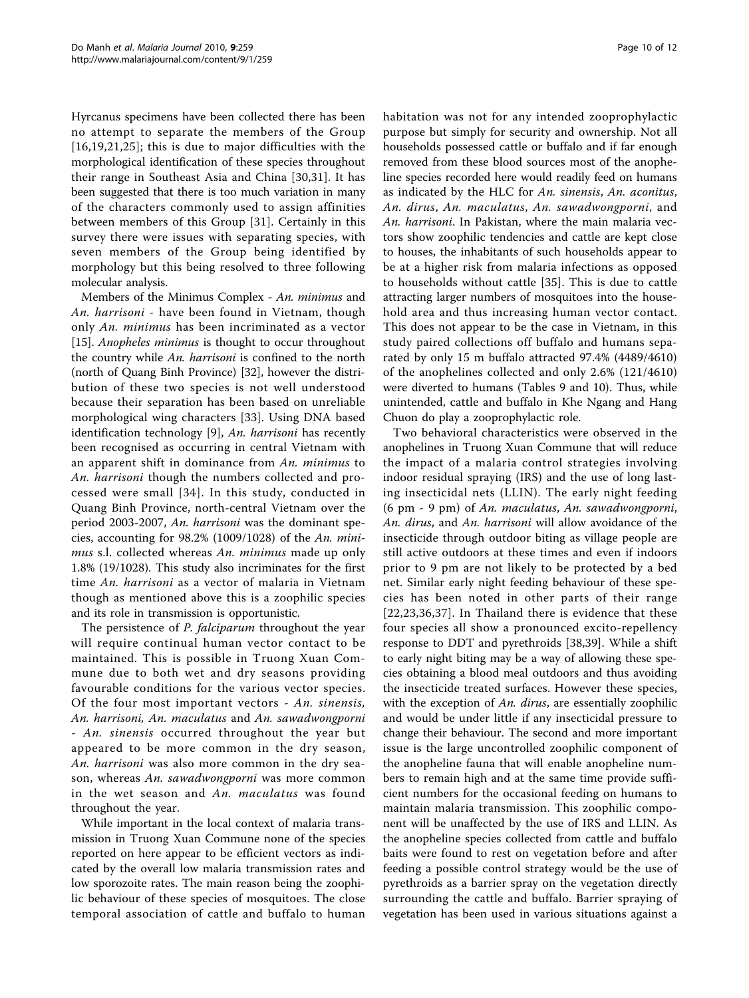Hyrcanus specimens have been collected there has been no attempt to separate the members of the Group [[16](#page-11-0),[19,21,25](#page-11-0)]; this is due to major difficulties with the morphological identification of these species throughout their range in Southeast Asia and China [[30,31\]](#page-11-0). It has been suggested that there is too much variation in many of the characters commonly used to assign affinities between members of this Group [[31](#page-11-0)]. Certainly in this survey there were issues with separating species, with seven members of the Group being identified by morphology but this being resolved to three following molecular analysis.

Members of the Minimus Complex - An. minimus and An. harrisoni - have been found in Vietnam, though only An. minimus has been incriminated as a vector [[15\]](#page-11-0). Anopheles minimus is thought to occur throughout the country while An. harrisoni is confined to the north (north of Quang Binh Province) [[32](#page-11-0)], however the distribution of these two species is not well understood because their separation has been based on unreliable morphological wing characters [[33\]](#page-11-0). Using DNA based identification technology [[9\]](#page-10-0), An. harrisoni has recently been recognised as occurring in central Vietnam with an apparent shift in dominance from An. minimus to An. harrisoni though the numbers collected and processed were small [[34](#page-11-0)]. In this study, conducted in Quang Binh Province, north-central Vietnam over the period 2003-2007, An. harrisoni was the dominant species, accounting for 98.2% (1009/1028) of the An. minimus s.l. collected whereas An. minimus made up only 1.8% (19/1028). This study also incriminates for the first time An. harrisoni as a vector of malaria in Vietnam though as mentioned above this is a zoophilic species and its role in transmission is opportunistic.

The persistence of *P. falciparum* throughout the year will require continual human vector contact to be maintained. This is possible in Truong Xuan Commune due to both wet and dry seasons providing favourable conditions for the various vector species. Of the four most important vectors - An. sinensis, An. harrisoni, An. maculatus and An. sawadwongporni - An. sinensis occurred throughout the year but appeared to be more common in the dry season, An. harrisoni was also more common in the dry season, whereas An. sawadwongporni was more common in the wet season and An. maculatus was found throughout the year.

While important in the local context of malaria transmission in Truong Xuan Commune none of the species reported on here appear to be efficient vectors as indicated by the overall low malaria transmission rates and low sporozoite rates. The main reason being the zoophilic behaviour of these species of mosquitoes. The close temporal association of cattle and buffalo to human habitation was not for any intended zooprophylactic purpose but simply for security and ownership. Not all households possessed cattle or buffalo and if far enough removed from these blood sources most of the anopheline species recorded here would readily feed on humans as indicated by the HLC for An. sinensis, An. aconitus, An. dirus, An. maculatus, An. sawadwongporni, and An. harrisoni. In Pakistan, where the main malaria vectors show zoophilic tendencies and cattle are kept close to houses, the inhabitants of such households appear to be at a higher risk from malaria infections as opposed to households without cattle [\[35](#page-11-0)]. This is due to cattle attracting larger numbers of mosquitoes into the household area and thus increasing human vector contact. This does not appear to be the case in Vietnam, in this study paired collections off buffalo and humans separated by only 15 m buffalo attracted 97.4% (4489/4610) of the anophelines collected and only 2.6% (121/4610) were diverted to humans (Tables [9](#page-6-0) and [10\)](#page-6-0). Thus, while unintended, cattle and buffalo in Khe Ngang and Hang Chuon do play a zooprophylactic role.

Two behavioral characteristics were observed in the anophelines in Truong Xuan Commune that will reduce the impact of a malaria control strategies involving indoor residual spraying (IRS) and the use of long lasting insecticidal nets (LLIN). The early night feeding (6 pm - 9 pm) of An. maculatus, An. sawadwongporni, An. dirus, and An. harrisoni will allow avoidance of the insecticide through outdoor biting as village people are still active outdoors at these times and even if indoors prior to 9 pm are not likely to be protected by a bed net. Similar early night feeding behaviour of these species has been noted in other parts of their range [[22](#page-11-0),[23,36,37](#page-11-0)]. In Thailand there is evidence that these four species all show a pronounced excito-repellency response to DDT and pyrethroids [\[38,39](#page-11-0)]. While a shift to early night biting may be a way of allowing these species obtaining a blood meal outdoors and thus avoiding the insecticide treated surfaces. However these species, with the exception of An. dirus, are essentially zoophilic and would be under little if any insecticidal pressure to change their behaviour. The second and more important issue is the large uncontrolled zoophilic component of the anopheline fauna that will enable anopheline numbers to remain high and at the same time provide sufficient numbers for the occasional feeding on humans to maintain malaria transmission. This zoophilic component will be unaffected by the use of IRS and LLIN. As the anopheline species collected from cattle and buffalo baits were found to rest on vegetation before and after feeding a possible control strategy would be the use of pyrethroids as a barrier spray on the vegetation directly surrounding the cattle and buffalo. Barrier spraying of vegetation has been used in various situations against a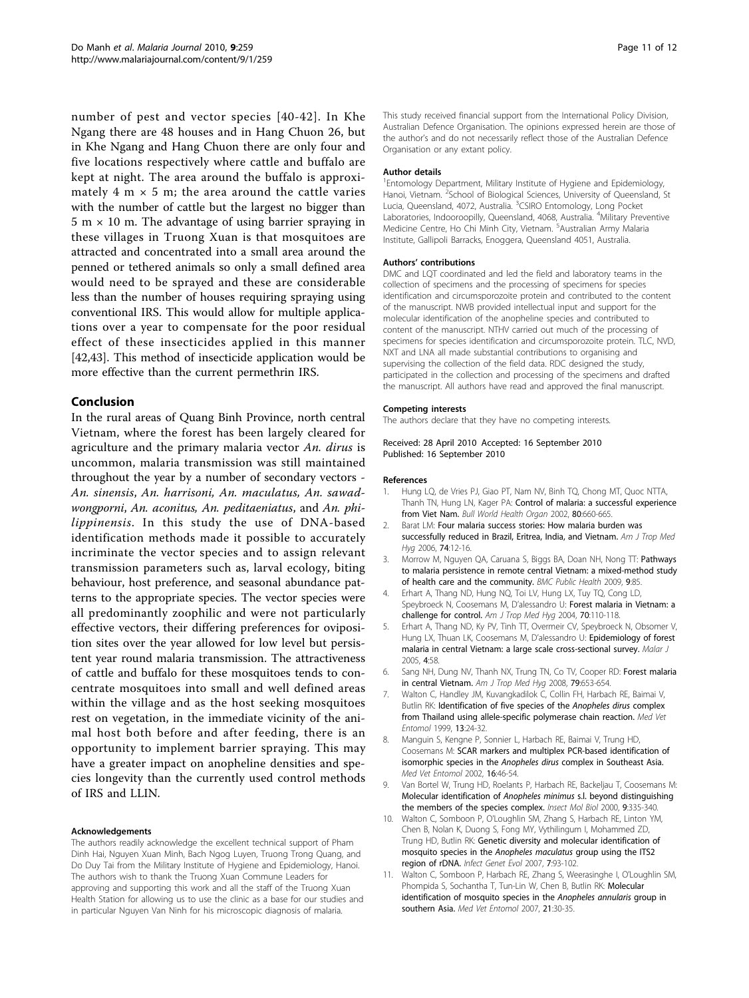<span id="page-10-0"></span>number of pest and vector species [[40](#page-11-0)-[42](#page-11-0)]. In Khe Ngang there are 48 houses and in Hang Chuon 26, but in Khe Ngang and Hang Chuon there are only four and five locations respectively where cattle and buffalo are kept at night. The area around the buffalo is approximately 4 m  $\times$  5 m; the area around the cattle varies with the number of cattle but the largest no bigger than  $5 \text{ m} \times 10 \text{ m}$ . The advantage of using barrier spraying in these villages in Truong Xuan is that mosquitoes are attracted and concentrated into a small area around the penned or tethered animals so only a small defined area would need to be sprayed and these are considerable less than the number of houses requiring spraying using conventional IRS. This would allow for multiple applications over a year to compensate for the poor residual effect of these insecticides applied in this manner [[42,43\]](#page-11-0). This method of insecticide application would be more effective than the current permethrin IRS.

# Conclusion

In the rural areas of Quang Binh Province, north central Vietnam, where the forest has been largely cleared for agriculture and the primary malaria vector An. dirus is uncommon, malaria transmission was still maintained throughout the year by a number of secondary vectors - An. sinensis, An. harrisoni, An. maculatus, An. sawadwongporni, An. aconitus, An. peditaeniatus, and An. philippinensis. In this study the use of DNA-based identification methods made it possible to accurately incriminate the vector species and to assign relevant transmission parameters such as, larval ecology, biting behaviour, host preference, and seasonal abundance patterns to the appropriate species. The vector species were all predominantly zoophilic and were not particularly effective vectors, their differing preferences for oviposition sites over the year allowed for low level but persistent year round malaria transmission. The attractiveness of cattle and buffalo for these mosquitoes tends to concentrate mosquitoes into small and well defined areas within the village and as the host seeking mosquitoes rest on vegetation, in the immediate vicinity of the animal host both before and after feeding, there is an opportunity to implement barrier spraying. This may have a greater impact on anopheline densities and species longevity than the currently used control methods of IRS and LLIN.

#### Acknowledgements

The authors readily acknowledge the excellent technical support of Pham Dinh Hai, Nguyen Xuan Minh, Bach Ngog Luyen, Truong Trong Quang, and Do Duy Tai from the Military Institute of Hygiene and Epidemiology, Hanoi. The authors wish to thank the Truong Xuan Commune Leaders for approving and supporting this work and all the staff of the Truong Xuan Health Station for allowing us to use the clinic as a base for our studies and in particular Nguyen Van Ninh for his microscopic diagnosis of malaria.

This study received financial support from the International Policy Division, Australian Defence Organisation. The opinions expressed herein are those of the author's and do not necessarily reflect those of the Australian Defence Organisation or any extant policy.

#### Author details

<sup>1</sup> Entomology Department, Military Institute of Hygiene and Epidemiology, Hanoi, Vietnam. <sup>2</sup>School of Biological Sciences, University of Queensland, St Lucia, Queensland, 4072, Australia. <sup>3</sup>CSIRO Entomology, Long Pocket Laboratories, Indooroopilly, Queensland, 4068, Australia. <sup>4</sup>Military Preventive Medicine Centre, Ho Chi Minh City, Vietnam. <sup>5</sup>Australian Army Malaria Institute, Gallipoli Barracks, Enoggera, Queensland 4051, Australia.

#### Authors' contributions

DMC and LOT coordinated and led the field and laboratory teams in the collection of specimens and the processing of specimens for species identification and circumsporozoite protein and contributed to the content of the manuscript. NWB provided intellectual input and support for the molecular identification of the anopheline species and contributed to content of the manuscript. NTHV carried out much of the processing of specimens for species identification and circumsporozoite protein. TLC, NVD, NXT and LNA all made substantial contributions to organising and supervising the collection of the field data. RDC designed the study, participated in the collection and processing of the specimens and drafted the manuscript. All authors have read and approved the final manuscript.

#### Competing interests

The authors declare that they have no competing interests.

Received: 28 April 2010 Accepted: 16 September 2010 Published: 16 September 2010

#### References

- 1. Hung LQ, de Vries PJ, Giao PT, Nam NV, Binh TQ, Chong MT, Quoc NTTA, Thanh TN, Hung LN, Kager PA: [Control of malaria: a successful experience](http://www.ncbi.nlm.nih.gov/pubmed/12219158?dopt=Abstract) [from Viet Nam.](http://www.ncbi.nlm.nih.gov/pubmed/12219158?dopt=Abstract) Bull World Health Organ 2002, 80:660-665.
- 2. Barat LM: [Four malaria success stories: How malaria burden was](http://www.ncbi.nlm.nih.gov/pubmed/16407339?dopt=Abstract) [successfully reduced in Brazil, Eritrea, India, and Vietnam.](http://www.ncbi.nlm.nih.gov/pubmed/16407339?dopt=Abstract) Am J Trop Med Hyg 2006, 74:12-16.
- 3. Morrow M, Nguyen QA, Caruana S, Biggs BA, Doan NH, Nong TT: [Pathways](http://www.ncbi.nlm.nih.gov/pubmed/19309519?dopt=Abstract) [to malaria persistence in remote central Vietnam: a mixed-method study](http://www.ncbi.nlm.nih.gov/pubmed/19309519?dopt=Abstract) [of health care and the community.](http://www.ncbi.nlm.nih.gov/pubmed/19309519?dopt=Abstract) BMC Public Health 2009, 9:85.
- 4. Erhart A, Thang ND, Hung NQ, Toi LV, Hung LX, Tuy TQ, Cong LD, Speybroeck N, Coosemans M, D'alessandro U: [Forest malaria in Vietnam: a](http://www.ncbi.nlm.nih.gov/pubmed/14993619?dopt=Abstract) [challenge for control.](http://www.ncbi.nlm.nih.gov/pubmed/14993619?dopt=Abstract) Am J Trop Med Hyg 2004, 70:110-118.
- 5. Erhart A, Thang ND, Ky PV, Tinh TT, Overmeir CV, Speybroeck N, Obsomer V, Hung LX, Thuan LK, Coosemans M, D'alessandro U: [Epidemiology of forest](http://www.ncbi.nlm.nih.gov/pubmed/16336671?dopt=Abstract) [malaria in central Vietnam: a large scale cross-sectional survey.](http://www.ncbi.nlm.nih.gov/pubmed/16336671?dopt=Abstract) Malar J 2005, 4:58.
- 6. Sang NH, Dung NV, Thanh NX, Trung TN, Co TV, Cooper RD: Forest malaria in central Vietnam. Am J Trop Med Hyg 2008, 79:653-654.
- 7. Walton C, Handley JM, Kuvangkadilok C, Collin FH, Harbach RE, Baimai V, Butlin RK: [Identification of five species of the](http://www.ncbi.nlm.nih.gov/pubmed/10194746?dopt=Abstract) Anopheles dirus complex [from Thailand using allele-specific polymerase chain reaction.](http://www.ncbi.nlm.nih.gov/pubmed/10194746?dopt=Abstract) Med Vet Entomol 1999, 13:24-32.
- 8. Manguin S, Kengne P, Sonnier L, Harbach RE, Baimai V, Trung HD, Coosemans M: [SCAR markers and multiplex PCR-based identification of](http://www.ncbi.nlm.nih.gov/pubmed/11963981?dopt=Abstract) isomorphic species in the Anopheles dirus [complex in Southeast Asia.](http://www.ncbi.nlm.nih.gov/pubmed/11963981?dopt=Abstract) Med Vet Entomol 2002, 16:46-54.
- 9. Van Bortel W, Trung HD, Roelants P, Harbach RE, Backeljau T, Coosemans M: [Molecular identification of](http://www.ncbi.nlm.nih.gov/pubmed/10886418?dopt=Abstract) Anopheles minimus s.l. beyond distinguishing [the members of the species complex.](http://www.ncbi.nlm.nih.gov/pubmed/10886418?dopt=Abstract) Insect Mol Biol 2000, 9:335-340.
- 10. Walton C, Somboon P, O'Loughlin SM, Zhang S, Harbach RE, Linton YM, Chen B, Nolan K, Duong S, Fong MY, Vythilingum I, Mohammed ZD, Trung HD, Butlin RK: [Genetic diversity and molecular identification of](http://www.ncbi.nlm.nih.gov/pubmed/16782411?dopt=Abstract) [mosquito species in the](http://www.ncbi.nlm.nih.gov/pubmed/16782411?dopt=Abstract) Anopheles maculatus group using the ITS2 [region of rDNA.](http://www.ncbi.nlm.nih.gov/pubmed/16782411?dopt=Abstract) Infect Genet Evol 2007, 7:93-102.
- 11. Walton C, Somboon P, Harbach RE, Zhang S, Weerasinghe I, O'Loughlin SM, Phompida S, Sochantha T, Tun-Lin W, Chen B, Butlin RK: [Molecular](http://www.ncbi.nlm.nih.gov/pubmed/17373944?dopt=Abstract) [identification of mosquito species in the](http://www.ncbi.nlm.nih.gov/pubmed/17373944?dopt=Abstract) Anopheles annularis group in [southern Asia.](http://www.ncbi.nlm.nih.gov/pubmed/17373944?dopt=Abstract) Med Vet Entomol 2007, 21:30-35.